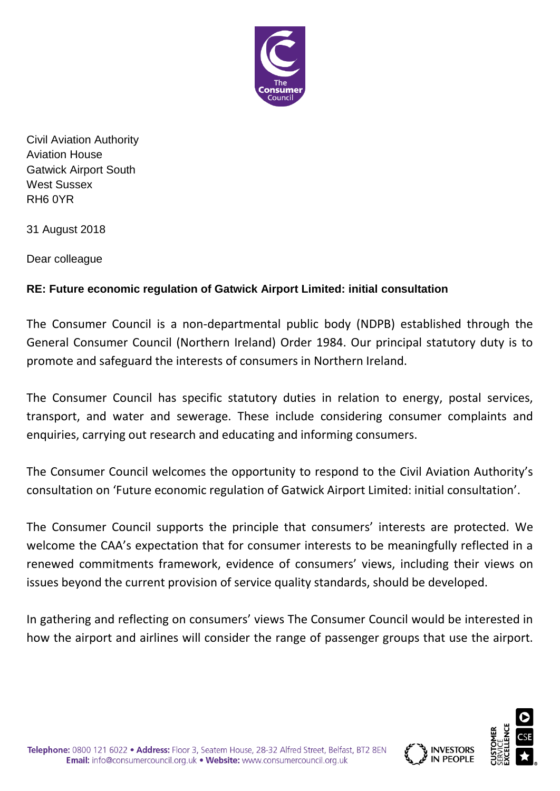

Civil Aviation Authority Aviation House Gatwick Airport South West Sussex RH6 0YR

31 August 2018

Dear colleague

## **RE: Future economic regulation of Gatwick Airport Limited: initial consultation**

The Consumer Council is a non-departmental public body (NDPB) established through the General Consumer Council (Northern Ireland) Order 1984. Our principal statutory duty is to promote and safeguard the interests of consumers in Northern Ireland.

The Consumer Council has specific statutory duties in relation to energy, postal services, transport, and water and sewerage. These include considering consumer complaints and enquiries, carrying out research and educating and informing consumers.

The Consumer Council welcomes the opportunity to respond to the Civil Aviation Authority's consultation on 'Future economic regulation of Gatwick Airport Limited: initial consultation'.

The Consumer Council supports the principle that consumers' interests are protected. We welcome the CAA's expectation that for consumer interests to be meaningfully reflected in a renewed commitments framework, evidence of consumers' views, including their views on issues beyond the current provision of service quality standards, should be developed.

In gathering and reflecting on consumers' views The Consumer Council would be interested in how the airport and airlines will consider the range of passenger groups that use the airport.

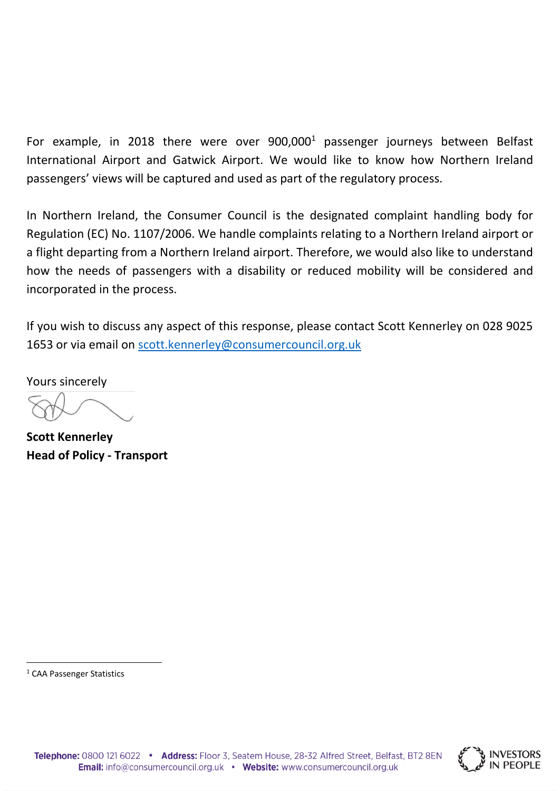For example, in 2018 there were over  $900,000<sup>1</sup>$  passenger journeys between Belfast International Airport and Gatwick Airport. We would like to know how Northern Ireland passengers' views will be captured and used as part of the regulatory process.

In Northern Ireland, the Consumer Council is the designated complaint handling body for Regulation (EC) No. 1107/2006. We handle complaints relating to a Northern Ireland airport or a flight departing from a Northern Ireland airport. Therefore, we would also like to understand how the needs of passengers with a disability or reduced mobility will be considered and incorporated in the process.

If you wish to discuss any aspect of this response, please contact Scott Kennerley on 028 9025 1653 or via email on [scott.kennerley@consumercouncil.org.uk](mailto:scott.kennerley@consumercouncil.org.uk)

Yours sincerely

**Scott Kennerley Head of Policy - Transport**

1



<sup>&</sup>lt;sup>1</sup> CAA Passenger Statistics